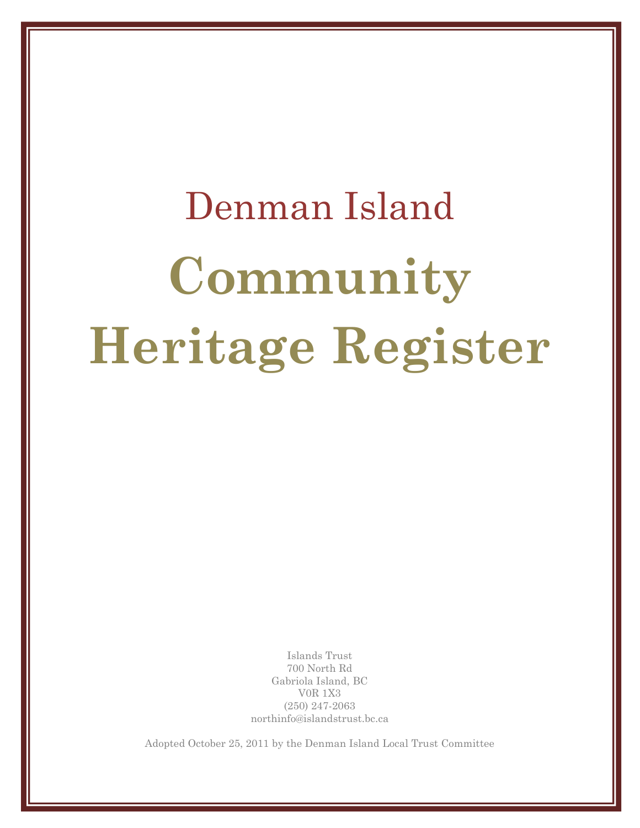# Denman Island **Community Heritage Register**

Islands Trust 700 North Rd Gabriola Island, BC V0R 1X3 (250) 247-2063 northinfo@islandstrust.bc.ca

Adopted October 25, 2011 by the Denman Island Local Trust Committee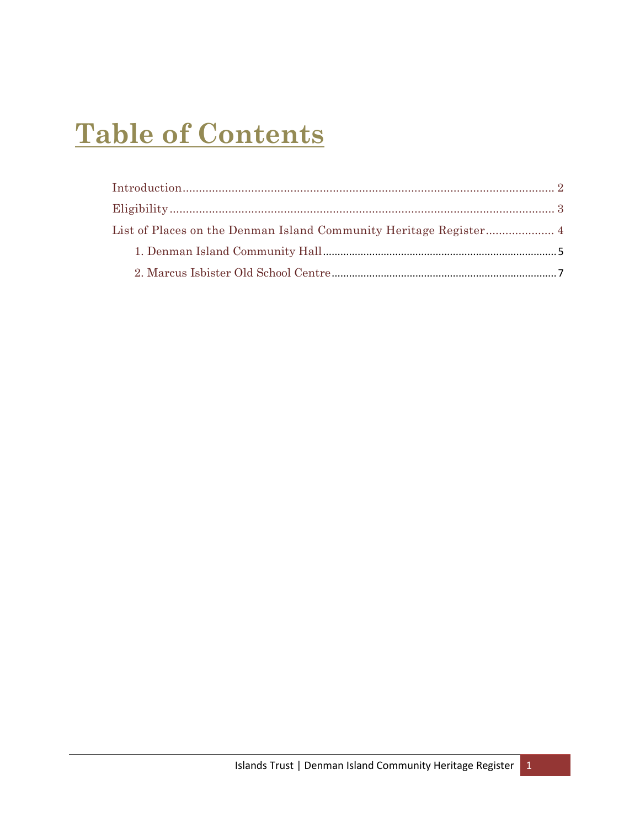## **Table of Contents**

| List of Places on the Denman Island Community Heritage Register 4 |  |
|-------------------------------------------------------------------|--|
|                                                                   |  |
|                                                                   |  |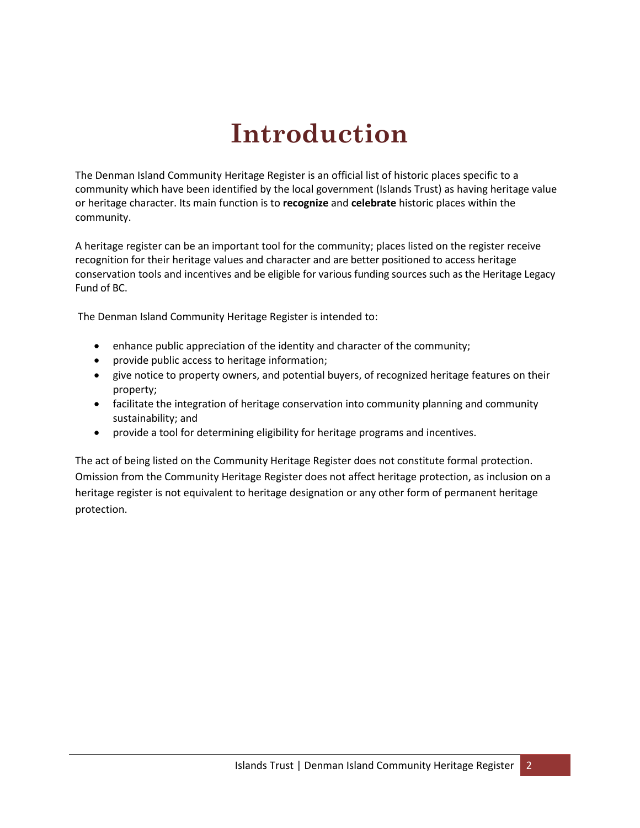# **Introduction**

<span id="page-3-0"></span>The Denman Island Community Heritage Register is an official list of historic places specific to a community which have been identified by the local government (Islands Trust) as having heritage value or heritage character. Its main function is to **recognize** and **celebrate** historic places within the community.

A heritage register can be an important tool for the community; places listed on the register receive recognition for their heritage values and character and are better positioned to access heritage conservation tools and incentives and be eligible for various funding sources such as the Heritage Legacy Fund of BC.

The Denman Island Community Heritage Register is intended to:

- enhance public appreciation of the identity and character of the community;
- provide public access to heritage information;
- give notice to property owners, and potential buyers, of recognized heritage features on their property;
- facilitate the integration of heritage conservation into community planning and community sustainability; and
- provide a tool for determining eligibility for heritage programs and incentives.

The act of being listed on the Community Heritage Register does not constitute formal protection. Omission from the Community Heritage Register does not affect heritage protection, as inclusion on a heritage register is not equivalent to heritage designation or any other form of permanent heritage protection.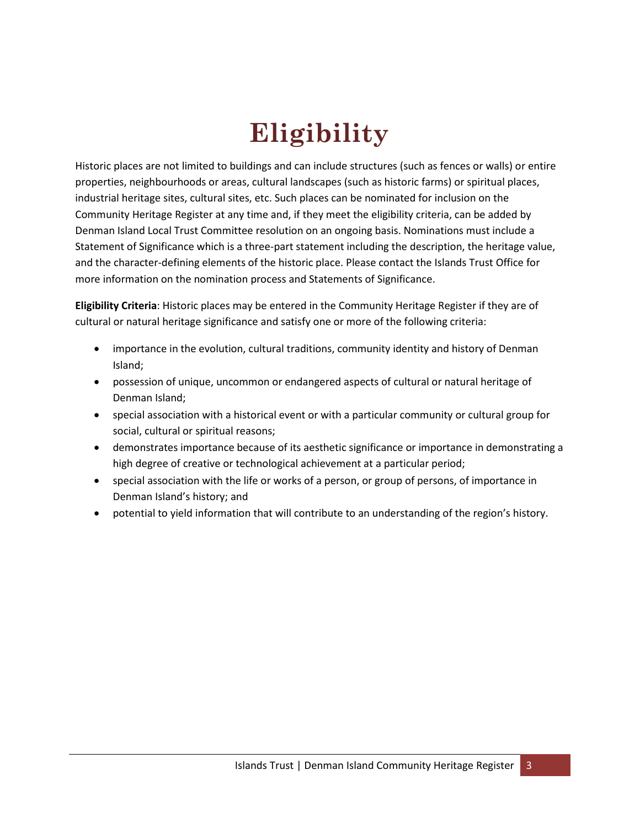# **Eligibility**

<span id="page-4-0"></span>Historic places are not limited to buildings and can include structures (such as fences or walls) or entire properties, neighbourhoods or areas, cultural landscapes (such as historic farms) or spiritual places, industrial heritage sites, cultural sites, etc. Such places can be nominated for inclusion on the Community Heritage Register at any time and, if they meet the eligibility criteria, can be added by Denman Island Local Trust Committee resolution on an ongoing basis. Nominations must include a Statement of Significance which is a three-part statement including the description, the heritage value, and the character-defining elements of the historic place. Please contact the Islands Trust Office for more information on the nomination process and Statements of Significance.

**Eligibility Criteria**: Historic places may be entered in the Community Heritage Register if they are of cultural or natural heritage significance and satisfy one or more of the following criteria:

- importance in the evolution, cultural traditions, community identity and history of Denman Island;
- possession of unique, uncommon or endangered aspects of cultural or natural heritage of Denman Island;
- special association with a historical event or with a particular community or cultural group for social, cultural or spiritual reasons;
- demonstrates importance because of its aesthetic significance or importance in demonstrating a high degree of creative or technological achievement at a particular period;
- special association with the life or works of a person, or group of persons, of importance in Denman Island's history; and
- potential to yield information that will contribute to an understanding of the region's history.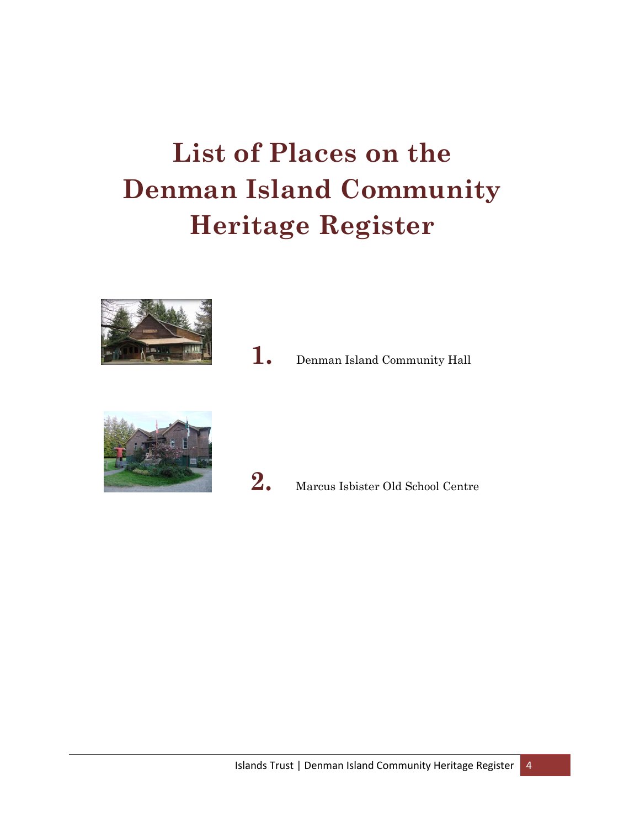# <span id="page-5-0"></span>**List of Places on the Denman Island Community Heritage Register**



**1.** Denman Island Community Hall





2. Marcus Isbister Old School Centre

Islands Trust | Denman Island Community Heritage Register | 4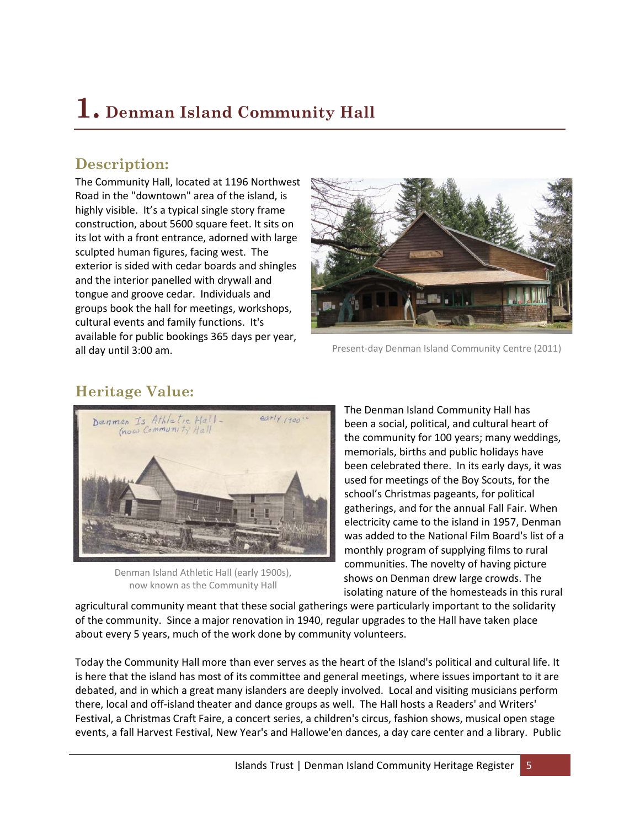## <span id="page-6-0"></span>**1. Denman Island Community Hall**

#### **Description:**

The Community Hall, located at 1196 Northwest Road in the "downtown" area of the island, is highly visible. It's a typical single story frame construction, about 5600 square feet. It sits on its lot with a front entrance, adorned with large sculpted human figures, facing west. The exterior is sided with cedar boards and shingles and the interior panelled with drywall and tongue and groove cedar. Individuals and groups book the hall for meetings, workshops, cultural events and family functions. It's available for public bookings 365 days per year, all day until 3:00 am.



Present-day Denman Island Community Centre (2011)

#### **Heritage Value:**



Denman Island Athletic Hall (early 1900s), now known as the Community Hall

The Denman Island Community Hall has been a social, political, and cultural heart of the community for 100 years; many weddings, memorials, births and public holidays have been celebrated there. In its early days, it was used for meetings of the Boy Scouts, for the school's Christmas pageants, for political gatherings, and for the annual Fall Fair. When electricity came to the island in 1957, Denman was added to the National Film Board's list of a monthly program of supplying films to rural communities. The novelty of having picture shows on Denman drew large crowds. The isolating nature of the homesteads in this rural

agricultural community meant that these social gatherings were particularly important to the solidarity of the community. Since a major renovation in 1940, regular upgrades to the Hall have taken place about every 5 years, much of the work done by community volunteers.

Today the Community Hall more than ever serves as the heart of the Island's political and cultural life. It is here that the island has most of its committee and general meetings, where issues important to it are debated, and in which a great many islanders are deeply involved. Local and visiting musicians perform there, local and off-island theater and dance groups as well. The Hall hosts a Readers' and Writers' Festival, a Christmas Craft Faire, a concert series, a children's circus, fashion shows, musical open stage events, a fall Harvest Festival, New Year's and Hallowe'en dances, a day care center and a library. Public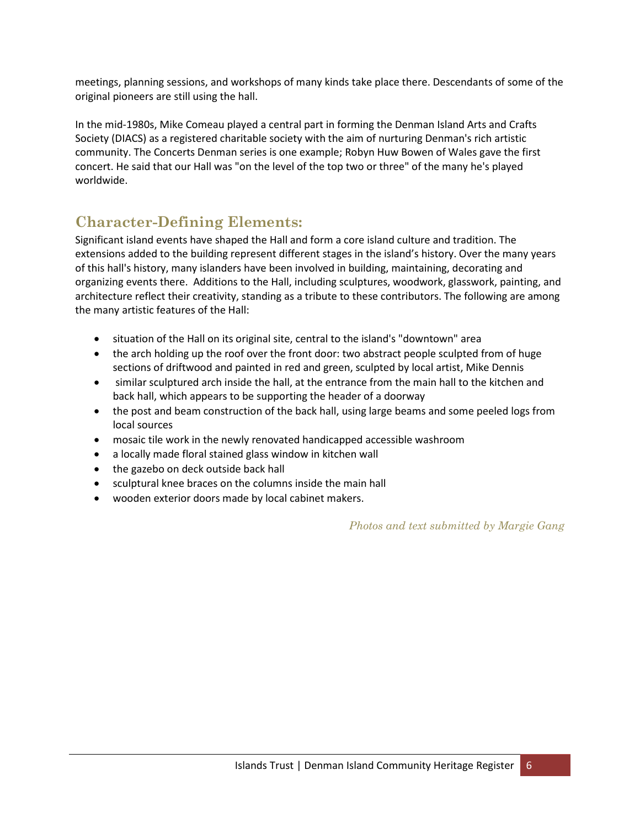meetings, planning sessions, and workshops of many kinds take place there. Descendants of some of the original pioneers are still using the hall.

In the mid-1980s, Mike Comeau played a central part in forming the Denman Island Arts and Crafts Society (DIACS) as a registered charitable society with the aim of nurturing Denman's rich artistic community. The Concerts Denman series is one example; Robyn Huw Bowen of Wales gave the first concert. He said that our Hall was "on the level of the top two or three" of the many he's played worldwide.

#### **Character-Defining Elements:**

Significant island events have shaped the Hall and form a core island culture and tradition. The extensions added to the building represent different stages in the island's history. Over the many years of this hall's history, many islanders have been involved in building, maintaining, decorating and organizing events there. Additions to the Hall, including sculptures, woodwork, glasswork, painting, and architecture reflect their creativity, standing as a tribute to these contributors. The following are among the many artistic features of the Hall:

- situation of the Hall on its original site, central to the island's "downtown" area
- the arch holding up the roof over the front door: two abstract people sculpted from of huge sections of driftwood and painted in red and green, sculpted by local artist, Mike Dennis
- similar sculptured arch inside the hall, at the entrance from the main hall to the kitchen and back hall, which appears to be supporting the header of a doorway
- the post and beam construction of the back hall, using large beams and some peeled logs from local sources
- mosaic tile work in the newly renovated handicapped accessible washroom
- a locally made floral stained glass window in kitchen wall
- the gazebo on deck outside back hall
- sculptural knee braces on the columns inside the main hall
- wooden exterior doors made by local cabinet makers.

*Photos and text submitted by Margie Gang*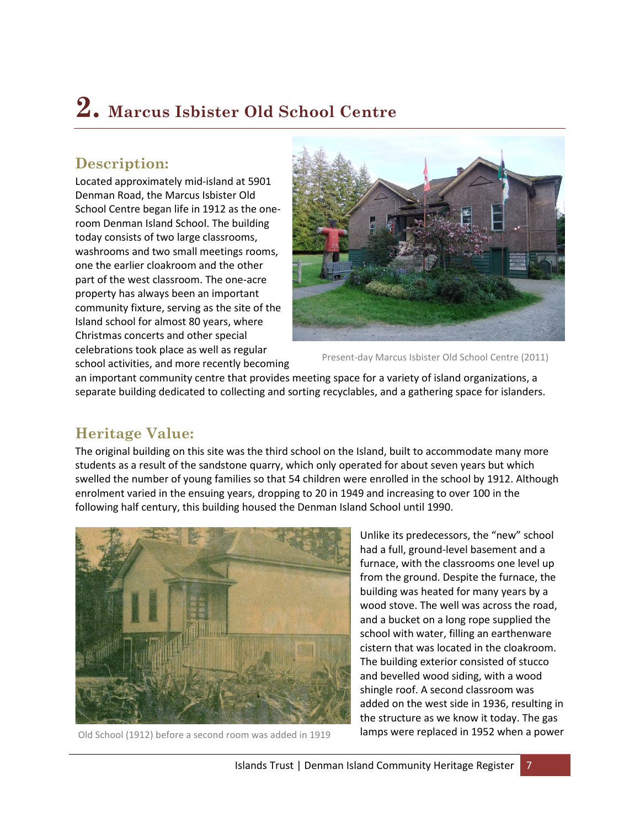### <span id="page-8-0"></span>**2. Marcus Isbister Old School Centre**

#### **Description:**

Located approximately mid-island at 5901 Denman Road, the Marcus Isbister Old School Centre began life in 1912 as the oneroom Denman Island School. The building today consists of two large classrooms, washrooms and two small meetings rooms, one the earlier cloakroom and the other part of the west classroom. The one-acre property has always been an important community fixture, serving as the site of the Island school for almost 80 years, where Christmas concerts and other special celebrations took place as well as regular school activities, and more recently becoming



Present-day Marcus Isbister Old School Centre (2011)

an important community centre that provides meeting space for a variety of island organizations, a separate building dedicated to collecting and sorting recyclables, and a gathering space for islanders.

#### **Heritage Value:**

The original building on this site was the third school on the Island, built to accommodate many more students as a result of the sandstone quarry, which only operated for about seven years but which swelled the number of young families so that 54 children were enrolled in the school by 1912. Although enrolment varied in the ensuing years, dropping to 20 in 1949 and increasing to over 100 in the following half century, this building housed the Denman Island School until 1990.



Old School (1912) before a second room was added in 1919

Unlike its predecessors, the "new" school had a full, ground-level basement and a furnace, with the classrooms one level up from the ground. Despite the furnace, the building was heated for many years by a wood stove. The well was across the road, and a bucket on a long rope supplied the school with water, filling an earthenware cistern that was located in the cloakroom. The building exterior consisted of stucco and bevelled wood siding, with a wood shingle roof. A second classroom was added on the west side in 1936, resulting in the structure as we know it today. The gas lamps were replaced in 1952 when a power